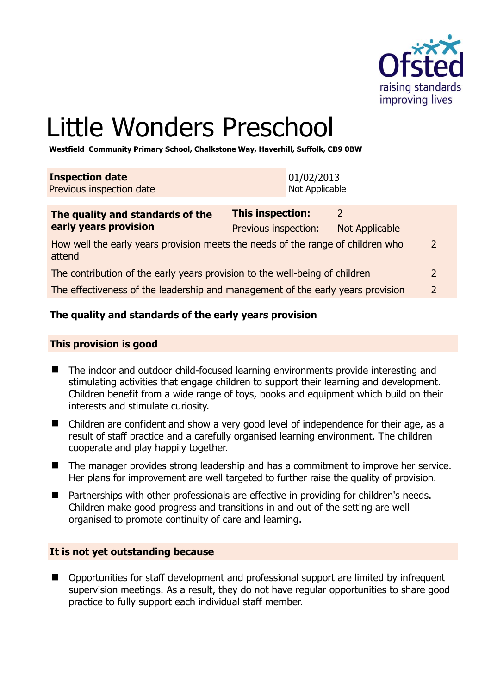

# Little Wonders Preschool

**Westfield Community Primary School, Chalkstone Way, Haverhill, Suffolk, CB9 0BW** 

| <b>Inspection date</b><br>Previous inspection date | 01/02/2013<br>Not Applicable |  |
|----------------------------------------------------|------------------------------|--|
| The quality and standards of the                   | <b>This inspection:</b>      |  |

| early years provision                                                                     | Previous inspection: | Not Applicable |               |
|-------------------------------------------------------------------------------------------|----------------------|----------------|---------------|
| How well the early years provision meets the needs of the range of children who<br>attend |                      |                | 2             |
| The contribution of the early years provision to the well-being of children               |                      |                | $\mathcal{P}$ |
| The effectiveness of the leadership and management of the early years provision           |                      |                | $\mathcal{P}$ |

# **The quality and standards of the early years provision**

#### **This provision is good**

- The indoor and outdoor child-focused learning environments provide interesting and stimulating activities that engage children to support their learning and development. Children benefit from a wide range of toys, books and equipment which build on their interests and stimulate curiosity.
- Children are confident and show a very good level of independence for their age, as a result of staff practice and a carefully organised learning environment. The children cooperate and play happily together.
- The manager provides strong leadership and has a commitment to improve her service. Her plans for improvement are well targeted to further raise the quality of provision.
- Partnerships with other professionals are effective in providing for children's needs. Children make good progress and transitions in and out of the setting are well organised to promote continuity of care and learning.

#### **It is not yet outstanding because**

 Opportunities for staff development and professional support are limited by infrequent supervision meetings. As a result, they do not have regular opportunities to share good practice to fully support each individual staff member.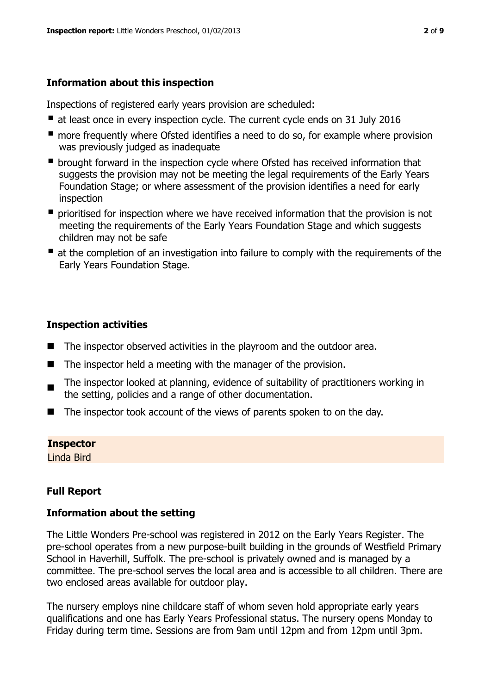# **Information about this inspection**

Inspections of registered early years provision are scheduled:

- at least once in every inspection cycle. The current cycle ends on 31 July 2016
- **n** more frequently where Ofsted identifies a need to do so, for example where provision was previously judged as inadequate
- **•** brought forward in the inspection cycle where Ofsted has received information that suggests the provision may not be meeting the legal requirements of the Early Years Foundation Stage; or where assessment of the provision identifies a need for early inspection
- **P** prioritised for inspection where we have received information that the provision is not meeting the requirements of the Early Years Foundation Stage and which suggests children may not be safe
- at the completion of an investigation into failure to comply with the requirements of the Early Years Foundation Stage.

# **Inspection activities**

- $\blacksquare$  The inspector observed activities in the playroom and the outdoor area.
- $\blacksquare$  The inspector held a meeting with the manager of the provision.
- The inspector looked at planning, evidence of suitability of practitioners working in the setting, policies and a range of other documentation.
- The inspector took account of the views of parents spoken to on the day.

#### **Inspector**

Linda Bird

# **Full Report**

# **Information about the setting**

The Little Wonders Pre-school was registered in 2012 on the Early Years Register. The pre-school operates from a new purpose-built building in the grounds of Westfield Primary School in Haverhill, Suffolk. The pre-school is privately owned and is managed by a committee. The pre-school serves the local area and is accessible to all children. There are two enclosed areas available for outdoor play.

The nursery employs nine childcare staff of whom seven hold appropriate early years qualifications and one has Early Years Professional status. The nursery opens Monday to Friday during term time. Sessions are from 9am until 12pm and from 12pm until 3pm.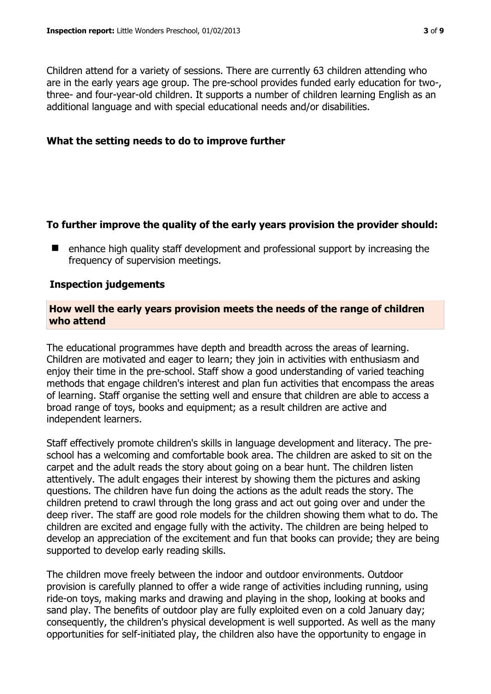Children attend for a variety of sessions. There are currently 63 children attending who are in the early years age group. The pre-school provides funded early education for two-, three- and four-year-old children. It supports a number of children learning English as an additional language and with special educational needs and/or disabilities.

#### **What the setting needs to do to improve further**

### **To further improve the quality of the early years provision the provider should:**

 $\blacksquare$  enhance high quality staff development and professional support by increasing the frequency of supervision meetings.

### **Inspection judgements**

#### **How well the early years provision meets the needs of the range of children who attend**

The educational programmes have depth and breadth across the areas of learning. Children are motivated and eager to learn; they join in activities with enthusiasm and enjoy their time in the pre-school. Staff show a good understanding of varied teaching methods that engage children's interest and plan fun activities that encompass the areas of learning. Staff organise the setting well and ensure that children are able to access a broad range of toys, books and equipment; as a result children are active and independent learners.

Staff effectively promote children's skills in language development and literacy. The preschool has a welcoming and comfortable book area. The children are asked to sit on the carpet and the adult reads the story about going on a bear hunt. The children listen attentively. The adult engages their interest by showing them the pictures and asking questions. The children have fun doing the actions as the adult reads the story. The children pretend to crawl through the long grass and act out going over and under the deep river. The staff are good role models for the children showing them what to do. The children are excited and engage fully with the activity. The children are being helped to develop an appreciation of the excitement and fun that books can provide; they are being supported to develop early reading skills.

The children move freely between the indoor and outdoor environments. Outdoor provision is carefully planned to offer a wide range of activities including running, using ride-on toys, making marks and drawing and playing in the shop, looking at books and sand play. The benefits of outdoor play are fully exploited even on a cold January day; consequently, the children's physical development is well supported. As well as the many opportunities for self-initiated play, the children also have the opportunity to engage in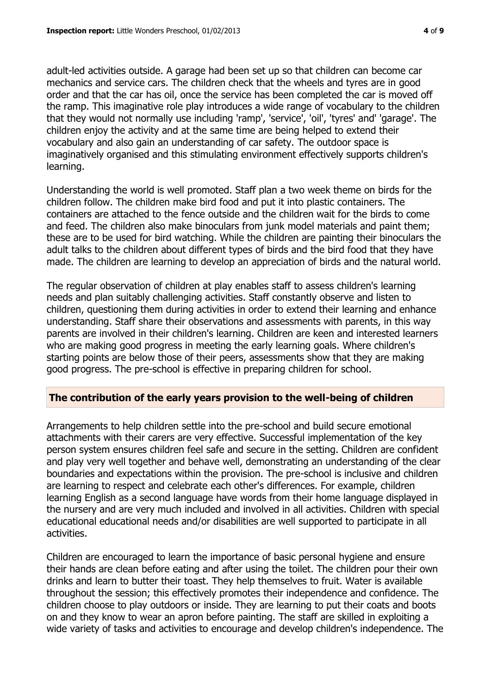adult-led activities outside. A garage had been set up so that children can become car mechanics and service cars. The children check that the wheels and tyres are in good order and that the car has oil, once the service has been completed the car is moved off the ramp. This imaginative role play introduces a wide range of vocabulary to the children that they would not normally use including 'ramp', 'service', 'oil', 'tyres' and' 'garage'. The children enjoy the activity and at the same time are being helped to extend their vocabulary and also gain an understanding of car safety. The outdoor space is imaginatively organised and this stimulating environment effectively supports children's learning.

Understanding the world is well promoted. Staff plan a two week theme on birds for the children follow. The children make bird food and put it into plastic containers. The containers are attached to the fence outside and the children wait for the birds to come and feed. The children also make binoculars from junk model materials and paint them; these are to be used for bird watching. While the children are painting their binoculars the adult talks to the children about different types of birds and the bird food that they have made. The children are learning to develop an appreciation of birds and the natural world.

The regular observation of children at play enables staff to assess children's learning needs and plan suitably challenging activities. Staff constantly observe and listen to children, questioning them during activities in order to extend their learning and enhance understanding. Staff share their observations and assessments with parents, in this way parents are involved in their children's learning. Children are keen and interested learners who are making good progress in meeting the early learning goals. Where children's starting points are below those of their peers, assessments show that they are making good progress. The pre-school is effective in preparing children for school.

#### **The contribution of the early years provision to the well-being of children**

Arrangements to help children settle into the pre-school and build secure emotional attachments with their carers are very effective. Successful implementation of the key person system ensures children feel safe and secure in the setting. Children are confident and play very well together and behave well, demonstrating an understanding of the clear boundaries and expectations within the provision. The pre-school is inclusive and children are learning to respect and celebrate each other's differences. For example, children learning English as a second language have words from their home language displayed in the nursery and are very much included and involved in all activities. Children with special educational educational needs and/or disabilities are well supported to participate in all activities.

Children are encouraged to learn the importance of basic personal hygiene and ensure their hands are clean before eating and after using the toilet. The children pour their own drinks and learn to butter their toast. They help themselves to fruit. Water is available throughout the session; this effectively promotes their independence and confidence. The children choose to play outdoors or inside. They are learning to put their coats and boots on and they know to wear an apron before painting. The staff are skilled in exploiting a wide variety of tasks and activities to encourage and develop children's independence. The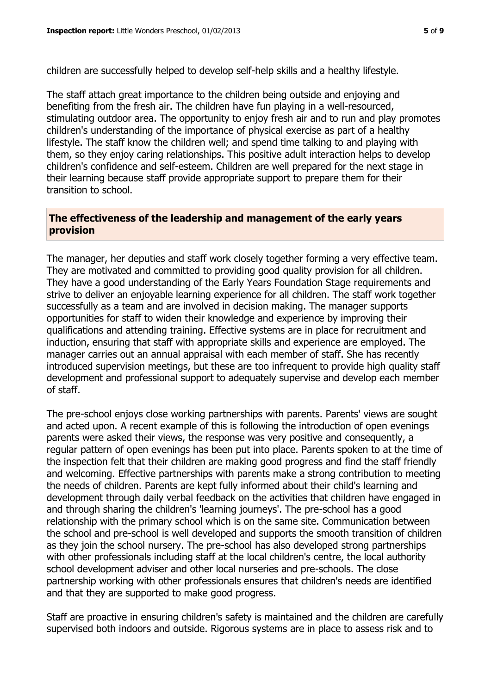children are successfully helped to develop self-help skills and a healthy lifestyle.

The staff attach great importance to the children being outside and enjoying and benefiting from the fresh air. The children have fun playing in a well-resourced, stimulating outdoor area. The opportunity to enjoy fresh air and to run and play promotes children's understanding of the importance of physical exercise as part of a healthy lifestyle. The staff know the children well; and spend time talking to and playing with them, so they enjoy caring relationships. This positive adult interaction helps to develop children's confidence and self-esteem. Children are well prepared for the next stage in their learning because staff provide appropriate support to prepare them for their transition to school.

## **The effectiveness of the leadership and management of the early years provision**

The manager, her deputies and staff work closely together forming a very effective team. They are motivated and committed to providing good quality provision for all children. They have a good understanding of the Early Years Foundation Stage requirements and strive to deliver an enjoyable learning experience for all children. The staff work together successfully as a team and are involved in decision making. The manager supports opportunities for staff to widen their knowledge and experience by improving their qualifications and attending training. Effective systems are in place for recruitment and induction, ensuring that staff with appropriate skills and experience are employed. The manager carries out an annual appraisal with each member of staff. She has recently introduced supervision meetings, but these are too infrequent to provide high quality staff development and professional support to adequately supervise and develop each member of staff.

The pre-school enjoys close working partnerships with parents. Parents' views are sought and acted upon. A recent example of this is following the introduction of open evenings parents were asked their views, the response was very positive and consequently, a regular pattern of open evenings has been put into place. Parents spoken to at the time of the inspection felt that their children are making good progress and find the staff friendly and welcoming. Effective partnerships with parents make a strong contribution to meeting the needs of children. Parents are kept fully informed about their child's learning and development through daily verbal feedback on the activities that children have engaged in and through sharing the children's 'learning journeys'. The pre-school has a good relationship with the primary school which is on the same site. Communication between the school and pre-school is well developed and supports the smooth transition of children as they join the school nursery. The pre-school has also developed strong partnerships with other professionals including staff at the local children's centre, the local authority school development adviser and other local nurseries and pre-schools. The close partnership working with other professionals ensures that children's needs are identified and that they are supported to make good progress.

Staff are proactive in ensuring children's safety is maintained and the children are carefully supervised both indoors and outside. Rigorous systems are in place to assess risk and to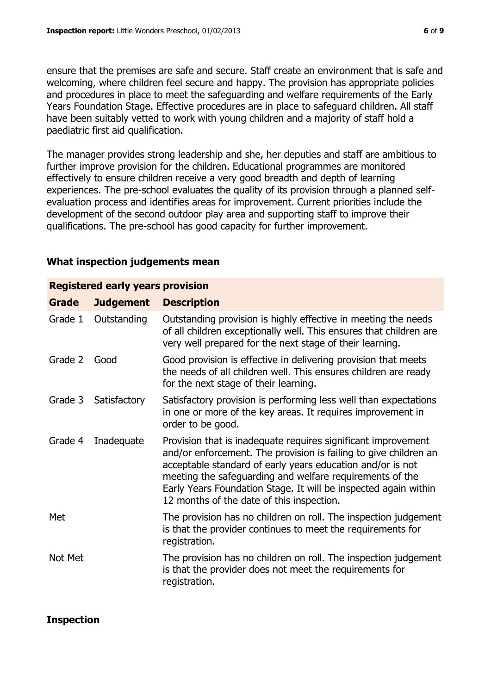ensure that the premises are safe and secure. Staff create an environment that is safe and welcoming, where children feel secure and happy. The provision has appropriate policies and procedures in place to meet the safeguarding and welfare requirements of the Early Years Foundation Stage. Effective procedures are in place to safeguard children. All staff have been suitably vetted to work with young children and a majority of staff hold a paediatric first aid qualification.

The manager provides strong leadership and she, her deputies and staff are ambitious to further improve provision for the children. Educational programmes are monitored effectively to ensure children receive a very good breadth and depth of learning experiences. The pre-school evaluates the quality of its provision through a planned selfevaluation process and identifies areas for improvement. Current priorities include the development of the second outdoor play area and supporting staff to improve their qualifications. The pre-school has good capacity for further improvement.

#### **What inspection judgements mean**

| <b>Registered early years provision</b> |                  |                                                                                                                                                                                                                                                                                                                                                                             |  |  |  |
|-----------------------------------------|------------------|-----------------------------------------------------------------------------------------------------------------------------------------------------------------------------------------------------------------------------------------------------------------------------------------------------------------------------------------------------------------------------|--|--|--|
| <b>Grade</b>                            | <b>Judgement</b> | <b>Description</b>                                                                                                                                                                                                                                                                                                                                                          |  |  |  |
| Grade 1                                 | Outstanding      | Outstanding provision is highly effective in meeting the needs<br>of all children exceptionally well. This ensures that children are<br>very well prepared for the next stage of their learning.                                                                                                                                                                            |  |  |  |
| Grade 2                                 | Good             | Good provision is effective in delivering provision that meets<br>the needs of all children well. This ensures children are ready<br>for the next stage of their learning.                                                                                                                                                                                                  |  |  |  |
| Grade 3                                 | Satisfactory     | Satisfactory provision is performing less well than expectations<br>in one or more of the key areas. It requires improvement in<br>order to be good.                                                                                                                                                                                                                        |  |  |  |
| Grade 4                                 | Inadequate       | Provision that is inadequate requires significant improvement<br>and/or enforcement. The provision is failing to give children an<br>acceptable standard of early years education and/or is not<br>meeting the safeguarding and welfare requirements of the<br>Early Years Foundation Stage. It will be inspected again within<br>12 months of the date of this inspection. |  |  |  |
| Met                                     |                  | The provision has no children on roll. The inspection judgement<br>is that the provider continues to meet the requirements for<br>registration.                                                                                                                                                                                                                             |  |  |  |
| Not Met                                 |                  | The provision has no children on roll. The inspection judgement<br>is that the provider does not meet the requirements for<br>registration.                                                                                                                                                                                                                                 |  |  |  |
|                                         |                  |                                                                                                                                                                                                                                                                                                                                                                             |  |  |  |

**Inspection**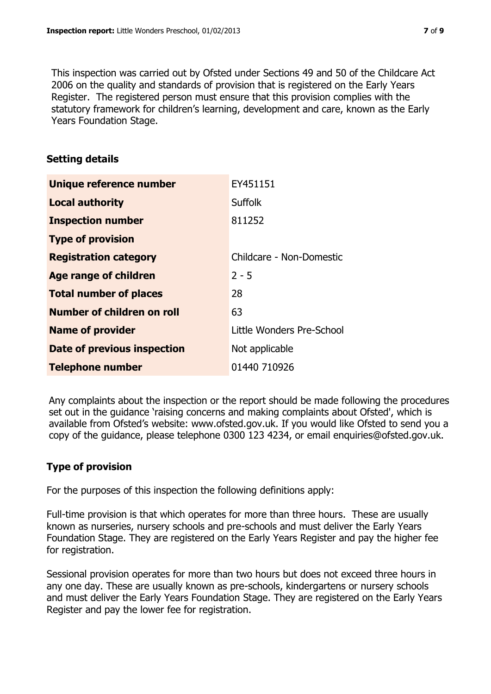This inspection was carried out by Ofsted under Sections 49 and 50 of the Childcare Act 2006 on the quality and standards of provision that is registered on the Early Years Register. The registered person must ensure that this provision complies with the statutory framework for children's learning, development and care, known as the Early Years Foundation Stage.

# **Setting details**

| Unique reference number       | EY451151                  |
|-------------------------------|---------------------------|
| <b>Local authority</b>        | <b>Suffolk</b>            |
| <b>Inspection number</b>      | 811252                    |
| <b>Type of provision</b>      |                           |
| <b>Registration category</b>  | Childcare - Non-Domestic  |
| <b>Age range of children</b>  | $2 - 5$                   |
| <b>Total number of places</b> | 28                        |
| Number of children on roll    | 63                        |
| <b>Name of provider</b>       | Little Wonders Pre-School |
| Date of previous inspection   | Not applicable            |
| <b>Telephone number</b>       | 01440 710926              |

Any complaints about the inspection or the report should be made following the procedures set out in the guidance 'raising concerns and making complaints about Ofsted', which is available from Ofsted's website: www.ofsted.gov.uk. If you would like Ofsted to send you a copy of the guidance, please telephone 0300 123 4234, or email enquiries@ofsted.gov.uk.

# **Type of provision**

For the purposes of this inspection the following definitions apply:

Full-time provision is that which operates for more than three hours. These are usually known as nurseries, nursery schools and pre-schools and must deliver the Early Years Foundation Stage. They are registered on the Early Years Register and pay the higher fee for registration.

Sessional provision operates for more than two hours but does not exceed three hours in any one day. These are usually known as pre-schools, kindergartens or nursery schools and must deliver the Early Years Foundation Stage. They are registered on the Early Years Register and pay the lower fee for registration.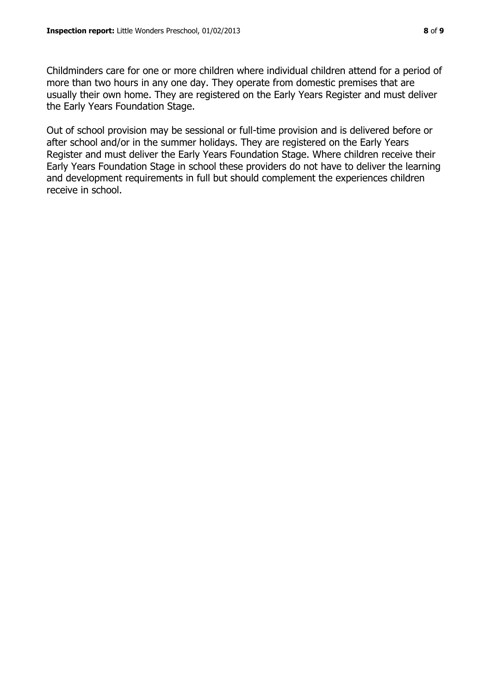Childminders care for one or more children where individual children attend for a period of more than two hours in any one day. They operate from domestic premises that are usually their own home. They are registered on the Early Years Register and must deliver the Early Years Foundation Stage.

Out of school provision may be sessional or full-time provision and is delivered before or after school and/or in the summer holidays. They are registered on the Early Years Register and must deliver the Early Years Foundation Stage. Where children receive their Early Years Foundation Stage in school these providers do not have to deliver the learning and development requirements in full but should complement the experiences children receive in school.